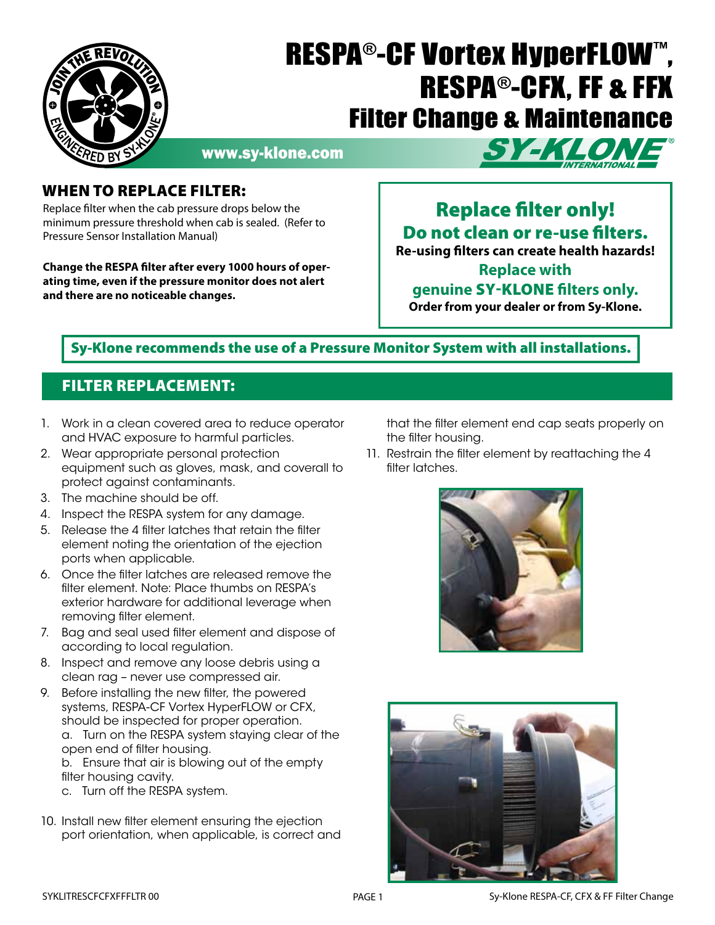

# RESPA®-CF Vortex HyperFLOW™ , RESPA®-CFX, FF & FFX Filter Change & Maintenance

www.sy-klone.com



### When to Replace Filter:

Replace filter when the cab pressure drops below the minimum pressure threshold when cab is sealed. (Refer to Pressure Sensor Installation Manual)

**Change the RESPA filter after every 1000 hours of operating time, even if the pressure monitor does not alert and there are no noticeable changes.** 

# Replace filter only! Do not clean or re-use filters. **Re-using filters can create health hazards!**

**Replace with** 

## **genuine** Sy-Klone **filters only.**

**Order from your dealer or from Sy-Klone.**

## Sy-Klone recommends the use of a Pressure Monitor System with all installations.

## Filter Replacement:

- 1. Work in a clean covered area to reduce operator and HVAC exposure to harmful particles.
- 2. Wear appropriate personal protection equipment such as gloves, mask, and coverall to protect against contaminants.
- 3. The machine should be off.
- 4. Inspect the RESPA system for any damage.
- 5. Release the 4 filter latches that retain the filter element noting the orientation of the ejection ports when applicable.
- 6. Once the filter latches are released remove the filter element. Note: Place thumbs on RESPA's exterior hardware for additional leverage when removing filter element.
- 7. Bag and seal used filter element and dispose of according to local regulation.
- 8. Inspect and remove any loose debris using a clean rag – never use compressed air.
- 9. Before installing the new filter, the powered systems, RESPA-CF Vortex HyperFLOW or CFX, should be inspected for proper operation. a. Turn on the RESPA system staying clear of the open end of filter housing.

b. Ensure that air is blowing out of the empty filter housing cavity.

- c. Turn off the RESPA system.
- 10. Install new filter element ensuring the ejection port orientation, when applicable, is correct and

that the filter element end cap seats properly on the filter housing.

11. Restrain the filter element by reattaching the 4 filter latches.